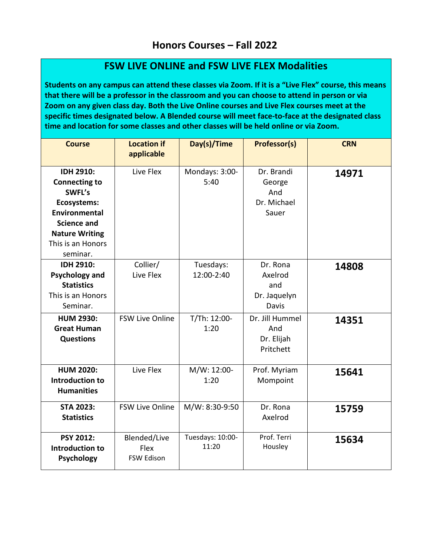## **FSW LIVE ONLINE and FSW LIVE FLEX Modalities**

**Students on any campus can attend these classes via Zoom. If it is a "Live Flex" course, this means that there will be a professor in the classroom and you can choose to attend in person or via Zoom on any given class day. Both the Live Online courses and Live Flex courses meet at the specific times designated below. A Blended course will meet face-to-face at the designated class time and location for some classes and other classes will be held online or via Zoom.**

| <b>Course</b>                                                                                                                                                      | <b>Location if</b><br>applicable          | Day(s)/Time               | <b>Professor(s)</b>                                 | <b>CRN</b> |
|--------------------------------------------------------------------------------------------------------------------------------------------------------------------|-------------------------------------------|---------------------------|-----------------------------------------------------|------------|
| <b>IDH 2910:</b><br><b>Connecting to</b><br>SWFL's<br>Ecosystems:<br>Environmental<br><b>Science and</b><br><b>Nature Writing</b><br>This is an Honors<br>seminar. | Live Flex                                 | Mondays: 3:00-<br>5:40    | Dr. Brandi<br>George<br>And<br>Dr. Michael<br>Sauer | 14971      |
| <b>IDH 2910:</b><br><b>Psychology and</b><br><b>Statistics</b><br>This is an Honors<br>Seminar.                                                                    | Collier/<br>Live Flex                     | Tuesdays:<br>12:00-2:40   | Dr. Rona<br>Axelrod<br>and<br>Dr. Jaquelyn<br>Davis | 14808      |
| <b>HUM 2930:</b><br><b>Great Human</b><br><b>Questions</b>                                                                                                         | <b>FSW Live Online</b>                    | T/Th: 12:00-<br>1:20      | Dr. Jill Hummel<br>And<br>Dr. Elijah<br>Pritchett   | 14351      |
| <b>HUM 2020:</b><br><b>Introduction to</b><br><b>Humanities</b>                                                                                                    | Live Flex                                 | M/W: 12:00-<br>1:20       | Prof. Myriam<br>Mompoint                            | 15641      |
| <b>STA 2023:</b><br><b>Statistics</b>                                                                                                                              | <b>FSW Live Online</b>                    | M/W: 8:30-9:50            | Dr. Rona<br>Axelrod                                 | 15759      |
| PSY 2012:<br>Introduction to<br><b>Psychology</b>                                                                                                                  | Blended/Live<br>Flex<br><b>FSW Edison</b> | Tuesdays: 10:00-<br>11:20 | Prof. Terri<br>Housley                              | 15634      |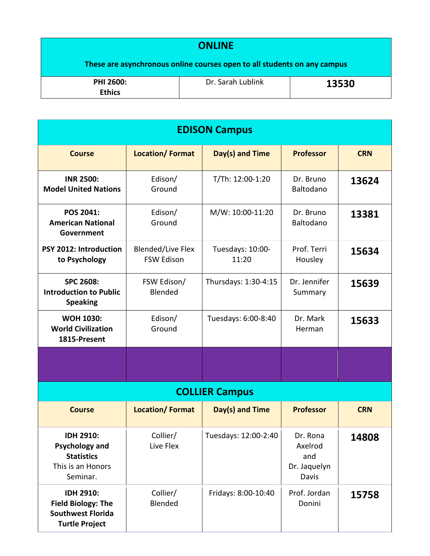## **ONLINE These are asynchronous online courses open to all students on any campus PHI 2600: Ethics** Dr. Sarah Lublink **13530**

| <b>EDISON Campus</b>                                                                               |                                               |                           |                                                     |            |  |  |  |  |
|----------------------------------------------------------------------------------------------------|-----------------------------------------------|---------------------------|-----------------------------------------------------|------------|--|--|--|--|
| <b>Course</b>                                                                                      | <b>Location/Format</b>                        | Day(s) and Time           | <b>Professor</b>                                    | <b>CRN</b> |  |  |  |  |
| <b>INR 2500:</b><br><b>Model United Nations</b>                                                    | Edison/<br>Ground                             | T/Th: 12:00-1:20          | Dr. Bruno<br>Baltodano                              | 13624      |  |  |  |  |
| POS 2041:<br><b>American National</b><br>Government                                                | Edison/<br>Ground                             | M/W: 10:00-11:20          | Dr. Bruno<br>Baltodano                              | 13381      |  |  |  |  |
| PSY 2012: Introduction<br>to Psychology                                                            | <b>Blended/Live Flex</b><br><b>FSW Edison</b> | Tuesdays: 10:00-<br>11:20 | Prof. Terri<br>Housley                              | 15634      |  |  |  |  |
| <b>SPC 2608:</b><br><b>Introduction to Public</b><br><b>Speaking</b>                               | FSW Edison/<br>Blended                        | Thursdays: 1:30-4:15      | Dr. Jennifer<br>Summary                             | 15639      |  |  |  |  |
| <b>WOH 1030:</b><br><b>World Civilization</b><br>1815-Present                                      | Edison/<br>Ground                             | Tuesdays: 6:00-8:40       | Dr. Mark<br>Herman                                  | 15633      |  |  |  |  |
|                                                                                                    |                                               |                           |                                                     |            |  |  |  |  |
|                                                                                                    |                                               | <b>COLLIER Campus</b>     |                                                     |            |  |  |  |  |
| <b>Course</b>                                                                                      | <b>Location/Format</b>                        | Day(s) and Time           | <b>Professor</b>                                    | <b>CRN</b> |  |  |  |  |
| <b>IDH 2910:</b><br><b>Psychology and</b><br><b>Statistics</b><br>This is an Honors<br>Seminar.    | Collier/<br>Live Flex                         | Tuesdays: 12:00-2:40      | Dr. Rona<br>Axelrod<br>and<br>Dr. Jaquelyn<br>Davis | 14808      |  |  |  |  |
| <b>IDH 2910:</b><br><b>Field Biology: The</b><br><b>Southwest Florida</b><br><b>Turtle Project</b> | Collier/<br>Blended                           | Fridays: 8:00-10:40       | Prof. Jordan<br>Donini                              | 15758      |  |  |  |  |